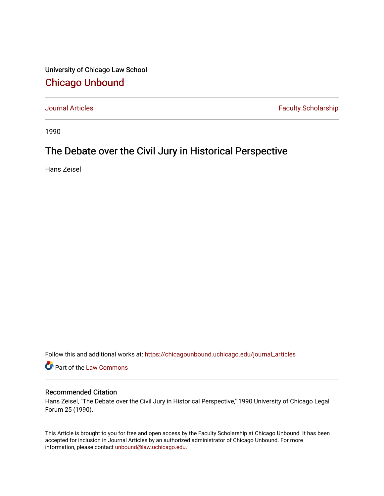University of Chicago Law School [Chicago Unbound](https://chicagounbound.uchicago.edu/)

[Journal Articles](https://chicagounbound.uchicago.edu/journal_articles) **Faculty Scholarship Faculty Scholarship** 

1990

# The Debate over the Civil Jury in Historical Perspective

Hans Zeisel

Follow this and additional works at: [https://chicagounbound.uchicago.edu/journal\\_articles](https://chicagounbound.uchicago.edu/journal_articles?utm_source=chicagounbound.uchicago.edu%2Fjournal_articles%2F8147&utm_medium=PDF&utm_campaign=PDFCoverPages) 

Part of the [Law Commons](http://network.bepress.com/hgg/discipline/578?utm_source=chicagounbound.uchicago.edu%2Fjournal_articles%2F8147&utm_medium=PDF&utm_campaign=PDFCoverPages)

### Recommended Citation

Hans Zeisel, "The Debate over the Civil Jury in Historical Perspective," 1990 University of Chicago Legal Forum 25 (1990).

This Article is brought to you for free and open access by the Faculty Scholarship at Chicago Unbound. It has been accepted for inclusion in Journal Articles by an authorized administrator of Chicago Unbound. For more information, please contact [unbound@law.uchicago.edu](mailto:unbound@law.uchicago.edu).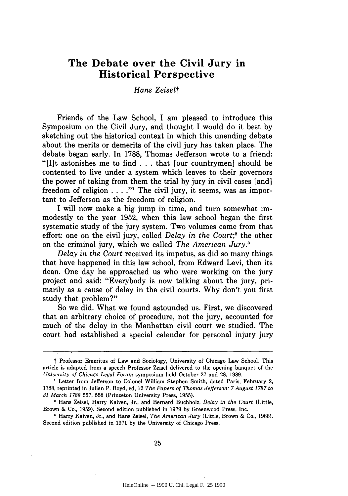## **The Debate over the Civil Jury in Historical Perspective**

### *Hans Zeisel*

Friends of the Law School, I am pleased to introduce this Symposium on the Civil Jury, and thought **I** would do it best **by** sketching out the historical context in which this unending debate about the merits or demerits of the civil jury has taken place. The debate began early. In **1788,** Thomas Jefferson wrote to a friend: **"[It** astonishes me to find **...**that [our countrymen] should be contented to live under a system which leaves to their governors the power of taking from them the trial **by** jury in civil cases [and] freedom of religion . . . . "I The civil jury, it seems, was as important to Jefferson as the freedom of religion.

I will now make a big jump in time, and turn somewhat immodestly to the year **1952,** when this law school began the first systematic study of the jury system. Two volumes came from that effort: one on the civil jury, called *Delay in the Court;2* the other on the criminal jury, which we called *The American Jury.'*

*Delay in the Court* received its impetus, as did so many things that have happened in this law school, from Edward Levi, then its dean. One day he approached us who were working on the jury project and said: "Everybody is now talking about the jury, primarily as a cause of delay in the civil courts. **Why** don't you first study that problem?"

So we did. What we found astounded us. First, we discovered that an arbitrary choice of procedure, not the jury, accounted for much of the delay in the Manhattan civil court we studied. The court had established a special calendar for personal injury jury

t Professor Emeritus of Law and Sociology, University of Chicago Law School. This article is adapted from a speech Professor Zeisel delivered to the opening banquet of the *University of Chicago Legal Forum* symposium held October 27 and 28, 1989.

Letter from Jefferson to Colonel William Stephen Smith, dated Paris, February 2, 1788, reprinted in Julian P. Boyd, ed, 12 *The Papers of Thomas Jefferson: 7 August 1787 to 31 March 1788* 557, 558 (Princeton University Press, 1955).

Hans Zeisel, Harry Kalven, Jr., and Bernard Buchholz, *Delay in the Court* (Little, Brown & Co., 1959). Second edition published in 1979 by Greenwood Press, Inc.

**<sup>&#</sup>x27;** Harry Kalven, Jr., and Hans Zeisel, *The American Jury* (Little, Brown & Co., 1966). Second edition published in 1971 by the University of Chicago Press.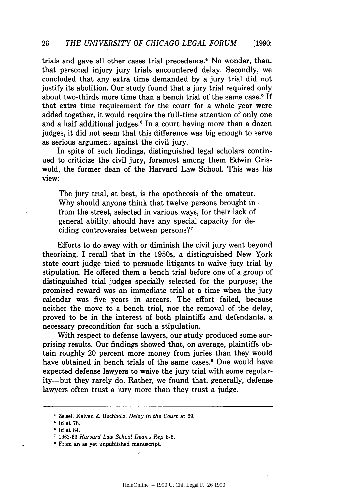trials and gave all other cases trial precedence." No wonder, then, that personal injury jury trials encountered delay. Secondly, we concluded that any extra time demanded by a jury trial did not justify its abolition. Our study found that a jury trial required only about two-thirds more time than a bench trial of the same case.<sup>5</sup> If that extra time requirement for the court for a whole year were added together, it would require the full-time attention of only one and a half additional judges.<sup>6</sup> In a court having more than a dozen judges, it did not seem that this difference was big enough to serve as serious argument against the civil jury.

In spite of such findings, distinguished legal scholars continued to criticize the civil jury, foremost among them Edwin Griswold, the former dean of the Harvard Law School. This was his view:

The jury trial, at best, is the apotheosis of the amateur. Why should anyone think that twelve persons brought in from the street, selected in various ways, for their lack of general ability, should have any special capacity for deciding controversies between persons?7

Efforts to do away with or diminish the civil jury went beyond theorizing. I recall that in the 1950s, a distinguished New York state court judge tried to persuade litigants to waive jury trial by stipulation. He offered them a bench trial before one of a group of distinguished trial judges specially selected for the purpose; the promised reward was an immediate trial at a time when the jury calendar was five years in arrears. The effort failed, because neither the move to a bench trial, nor the removal of the delay, proved to be in the interest of both plaintiffs and defendants, a necessary precondition for such a stipulation.

With respect to defense lawyers, our study produced some surprising results. Our findings showed that, on average, plaintiffs obtain roughly 20 percent more money from juries than they would have obtained in bench trials of the same cases.<sup>8</sup> One would have expected defense lawyers to waive the jury trial with some regularity-but they rarely do. Rather, we found that, generally, defense lawyers often trust a jury more than they trust a judge.

Zeisel, Kalven & Buchholz, *Delay in the Court* at 29.

Id at 78.

Id at 84.

<sup>1962-63</sup> *Harvard Law School Dean's Rep* 5-6.

From an as yet unpublished manuscript.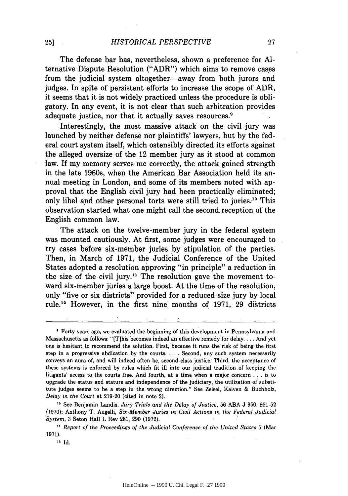The defense bar has, nevertheless, shown a preference for **Al**ternative Dispute Resolution ("ADR") which aims to remove cases from the judicial system altogether—away from both jurors and judges. In spite of persistent efforts to increase the scope of ADR, it seems that it is not widely practiced unless the procedure is obligatory. In any event, it is not clear that such arbitration provides adequate justice, nor that it actually saves resources.'

Interestingly, the most massive attack on the civil jury was launched by neither defense nor plaintiffs' lawyers, but by the federal court system itself, which ostensibly directed its efforts against the alleged oversize of the 12 member jury as it stood at common law. If my memory serves me correctly, the attack gained strength in the late 1960s, when the American Bar Association held its annual meeting in London, and some of its members noted with approval that the English civil jury had been practically eliminated; only libel and other personal torts were still tried to juries."0 This observation started what one might call the second reception of the English common law.

The attack on'the twelve-member jury in the federal system was mounted cautiously. At first, some judges were encouraged to try cases before six-member juries by stipulation of the parties. Then, in March of 1971, the Judicial Conference of the United States adopted a resolution approving "in principle" a reduction in the size of the civil jury." The resolution gave the movement toward six-member juries a large boost. At the time of the resolution, only "five or six districts" provided for a reduced-size jury by local rule.12 However, in the first nine months of 1971, 29 districts

Forty years ago, we evaluated the beginning of this development in Pennsylvania and Massachusetts as follows: "[Tihis becomes indeed an effective remedy for **delay....** And yet one is hesitant to recommend the solution. First, because it runs the risk of being the first step in a progressive abdication by the courts. . **.** . Second, any such system necessarily conveys an aura of, and will indeed often be, second-class justice: Third, the acceptance of these systems is enforced by rules which fit ill into our judicial tradition of keeping the litigants' access to the courts free. And fourth, at a time when a major concern . . . is to upgrade the status and stature and independence of the judiciary, the utilization of substitute judges seems to be a step in the wrong direction." See Zeisel, Kalven & Buchholz, *Delay in the Court* at 219-20 (cited in note 2).

**"** See Benjamin Landis, *Jury Trials and the Delay of Justice,* 56 **ABA** J 950, 951-52 (1970); Anthony T. Augelli, *Six-Member Juries in Civil Actions in the Federal Judicial System,* 3 Seton Hall L Rev 281, 290 (1972).

*" Report of the Proceedings of the Judicial Conference of the United States* 5 (Mar 1971).

<sup>12</sup> Id.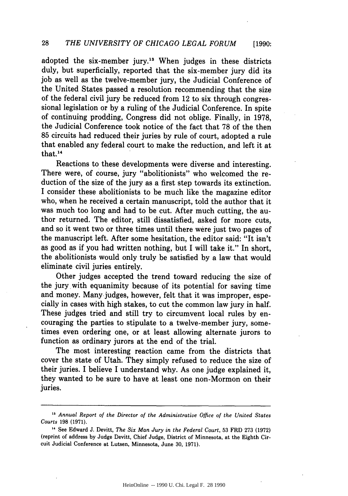adopted the six-member jury.13 When judges in these districts duly, but superficially, reported that the six-member jury did its job as well as the twelve-member jury, the Judicial Conference **of** the United States passed a resolution recommending that the size of the federal civil jury be reduced from 12 to six through congressional legislation or by a ruling of the Judicial Conference. In spite of continuing prodding, Congress did not oblige. Finally, in 1978, the Judicial Conference took notice of the fact that 78 of the then 85 circuits had reduced their juries by rule of court, adopted a rule that enabled any federal court to make the reduction, and left it at that. **<sup>14</sup>**

Reactions to these developments were diverse and interesting. There were, of course, jury "abolitionists" who welcomed the reduction of the size of the jury as a first step towards its extinction. I consider these abolitionists to be much like the magazine editor who, when he received a certain manuscript, told the author that it was much too long and had to be cut. After much cutting, the author returned. The editor, still dissatisfied, asked for more cuts, and so it went two or three times until there were just two pages of the manuscript left. After some hesitation, the editor said: "It isn't as good as if you had written nothing, but I will take it." In short, the abolitionists would only truly be satisfied by a law that would eliminate civil juries entirely.

Other judges accepted the trend toward reducing the size of the jury with equanimity because of its potential for saving time and money. Many-judges, however, felt that it was improper, especially in cases with high stakes, to cut the common law jury in half. These judges tried and still try to circumvent local rules by encouraging the parties to stipulate to a twelve-member jury, sometimes even ordering one, or at least allowing alternate jurors to function as ordinary jurors at the end of the trial.

The most interesting reaction came from the districts that cover the state of Utah. They simply refused to reduce the size of their juries. I believe I understand why. As one judge explained it, they wanted to be sure to have at least one non-Mormon on their juries.

<sup>&</sup>lt;sup>13</sup> Annual Report of the Director of the Administrative Office of the United States *Courts* 198 (1971).

**<sup>,1</sup>** See Edward J. Devitt, *The Six Man Jury in the Federal Court,* 53 FRD 273 (1972) (reprint of address by Judge Devitt, Chief Judge, District of Minnesota, at the Eighth Circuit Judicial Conference at Lutsen, Minnesota, June 30, 1971).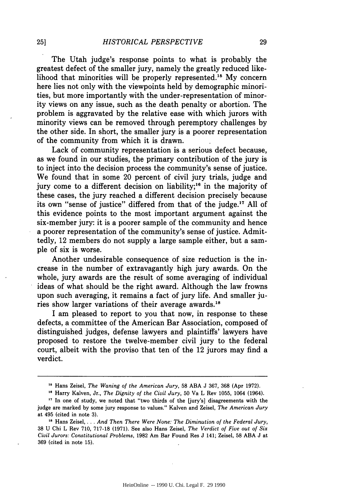The Utah judge's response points to what is probably the greatest defect of the smaller jury, namely the greatly reduced likelihood that minorities will be properly represented.<sup>15</sup> My concern here lies not only with the viewpoints held by demographic minorities, but more importantly with the under-representation of minority views on any issue, such as the death penalty or abortion. The problem is aggravated by the relative ease with which jurors with minority views can be removed through peremptory challenges by the other side. In short, the smaller jury is a poorer representation of the community from which it is drawn.

Lack of community representation is a serious defect because, as we found in our studies, the primary contribution of the jury is to inject into the decision process the community's sense of justice. We found that in some 20 percent of civil jury trials, judge and jury come to a different decision on liability;<sup>16</sup> in the majority of these cases, the jury reached a different decision precisely because its own "sense of justice" differed from that of the judge.<sup>17</sup> All of this evidence points to the most important argument against the six-member jury: it is a poorer sample of the community and hence a poorer representation of the community's sense of justice. Admittedly, 12 members do not supply a large sample either, but a sample of six is worse.

Another undesirable consequence of size reduction is the increase in the number of extravagantly high jury awards. On the whole, jury awards are the result of some averaging of individual ideas of what should be the right award. Although the law frowns upon such averaging, it remains a fact of jury life. And smaller juries show larger variations of their average awards.<sup>18</sup>

I am pleased to report to you that now, in response to these defects, a committee of the American Bar Association, composed of distinguished judges, defense lawyers and plaintiffs' lawyers have proposed to restore the twelve-member civil jury to the federal court, albeit with the proviso that ten of the 12 jurors may find a verdict.

**<sup>&</sup>quot;** Hans Zeisel, *The Waning of the American Jury,* 58 ABA J 367, 368 (Apr 1972).

**<sup>&</sup>quot;** Harry Kalven, Jr., *The Dignity of the Civil Jury,* 50 Va L Rev 1055, 1064 (1964).

**<sup>17</sup>**In one of study, we noted that "two thirds of the [jury's] disagreements with the judge are marked by some jury response to values." Kalven and Zeisel, *The American Jury* at 495 (cited in note 3).

**<sup>&</sup>quot;S** Hans Zeisel ... *And Then There Were None: The Diminution of the Federal Jury,* 38 U Chi L Rev 710, 717-18 (1971). See also Hans Zeisel, *The Verdict of Five out of Six Civil Jurors: Constitutional Problems,* 1982 Am Bar Found Res J 141; Zeisel, 58 ABA J at 369 (cited in note 15).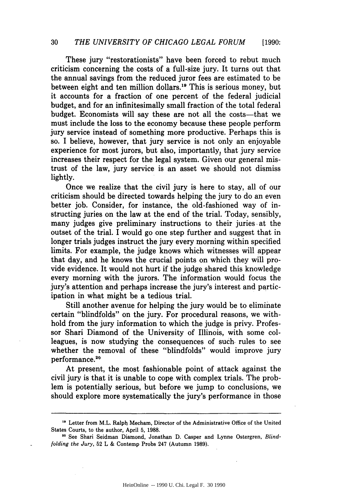These jury "restorationists" have been forced to rebut much criticism concerning the costs of a full-size jury. It turns out that the annual savings from the reduced juror fees are estimated to be between eight and ten million dollars.19 This is serious money, but it accounts for a fraction of one percent of the federal judicial budget, and for an infinitesimally small fraction of the total federal budget. Economists will say these are not all the costs-that we must include the loss to the economy because these people perform jury service instead of something more productive. Perhaps this is so. I believe, however, that jury service is not only an enjoyable experience for most jurors, but also, importantly, that jury service increases their respect for the legal system. Given our general mistrust of the law, jury service is an asset we should not dismiss lightly.

Once we realize that the civil jury is here to stay, all of our criticism should be directed towards helping the jury to do an even better job. Consider, for instance, the old-fashioned way of instructing juries on the law at the end of the trial. Today, sensibly, many judges give preliminary instructions to their juries at the outset of the trial. I would go one step further and suggest that in longer trials judges instruct the jury every morning within specified limits. For example, the judge knows which witnesses will appear that day, and he knows the crucial points on which they will provide evidence. It would not hurt if the judge shared this knowledge every morning with the jurors. The information would focus the jury's attention and perhaps increase the jury's interest and participation in what might be a tedious trial.

Still another avenue for helping the jury would be to eliminate certain "blindfolds" on the jury. For procedural reasons, we withhold from the jury information to which the judge is privy. Professor Shari Diamond of the University of Illinois, with some colleagues, is now studying the consequences of such. rules to see whether the removal of these "blindfolds" would improve jury performance.<sup>20</sup>

At present, the most fashionable point of attack against the civil jury is that it is unable to cope with complex trials. The problem is potentially serious, but before we jump to conclusions, we should explore more systematically the jury's performance in those

<sup>&</sup>lt;sup>19</sup> Letter from M.L. Ralph Mecham, Director of the Administrative Office of the United States Courts, to the author, April 5, 1988.

**<sup>20</sup>** See Shari Seidman Diamond, Jonathan D. Casper and Lynne Ostergren, *Blindfolding the Jury,* 52 L & Contemp Probs 247 (Autumn 1989).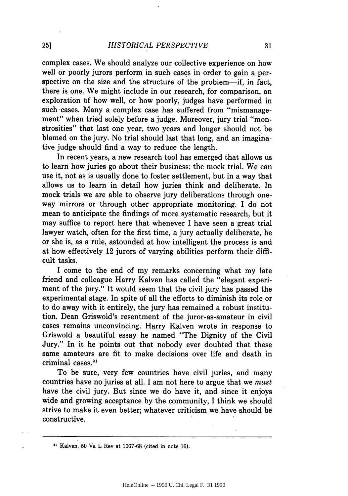complex cases. We should analyze our collective experience on how well or poorly jurors perform in such cases in order to gain a perspective on the size and the structure of the problem—if, in fact, there is one. We might include in our research, for comparison, an exploration of how well, or how poorly, judges have performed in such cases. Many a complex case has suffered from "mismanagement" when tried solely before a judge. Moreover, jury trial "monstrosities" that last one year, two years and longer should not be blamed on the jury. No trial should last that long, and an imaginative judge should find a way to reduce the length.

In recent years, a new research tool has emerged that allows us to learn how juries go about their business: the mock trial. We can use it, not as is usually done to foster settlement, but in a way that allows us to learn in detail how juries think and deliberate. In mock trials we are able to observe jury deliberations through oneway mirrors or through other appropriate monitoring. I do not mean to anticipate the findings of more systematic research, but it may suffice to report here that whenever I have seen a great trial lawyer watch, often for the first time, a jury actually deliberate, he or she is, as a rule, astounded at how intelligent the process is and at how effectively 12 jurors of varying abilities perform their difficult tasks.

I come to the end of my remarks concerning what my late friend and colleague Harry Kalven has called the "elegant experiment of the jury." It would seem that the civil jury has passed the experimental stage. In spite of all the efforts to diminish its role or to do away with it entirely, the jury has remained a robust institution. Dean Griswold's resentment of the juror-as-amateur in civil cases remains unconvincing. Harry Kalven wrote in response to Griswold a beautiful essay he named "The Dignity of the Civil Jury." In it he points out that nobody ever doubted that these same amateurs are fit to make decisions over life and death in criminal cases.<sup>21</sup>

To be sure, very few countries have civil juries, and many countries have no juries at all. I am not here to argue that we *must* have the civil jury. But since we do have it, and since it enjoys wide and growing acceptance by the community, I think we should strive to make it even better; whatever criticism we have should be constructive.

 $21$  Kalven, 50 Va L Rev at 1067-68 (cited in note 16).